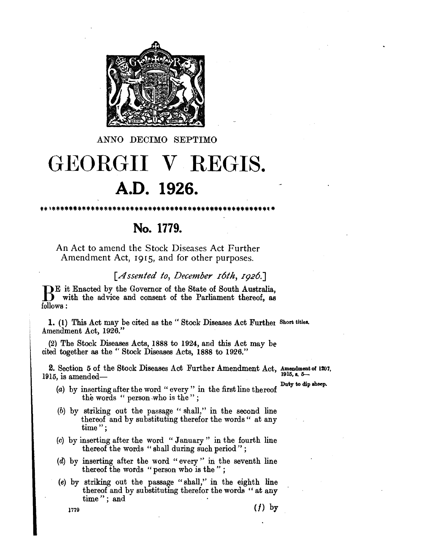

ANNO DECIMO SEPTIMO

## **GEORGII V REGIS. A.D. 1926.**

**No. 1779.** 

An Act to amend the Stock Diseases Act Further Amendment Act, I915, and for other purposes.

## *[A ssented to, December I6th, I926.]*

BE it Enacted by the Governor of the State of South Australia,<br>with the advice and consent of the Parliament thereof, as follows:

1. (1) This Act may be cited as the "Stock Diseases Act Further Short titles. Amendment Act, 1926."

(2) The Stock Diseases Acts, 1888 to 1924, and this Act may be cited together as the" Stock Diseases Acts, 1888 to 1926."

2. Section 5 of the Stock Diseases Act Further Amendment Act, Amendment of 1207,  $1915$ , is amended-

- (a) by inserting after the word "every" in the first line thereof  $\frac{\text{Duty to dip sheep.}}{}$ the words " person-who is the";
- (b) by striking out the passage "shall," in the second line thereof and by substituting therefor the words" at any time";
- (c) by inserting after the word "January" in the fourth line thereof the words "shall during such period";
- (d) by inserting after the word" every" in the seventh line thereof the words "person who is the";
- (e) by striking out the passage "shall," in the eighth line thereof and by substituting therefor the words " at any time"; and

1779 ( $f$ ) by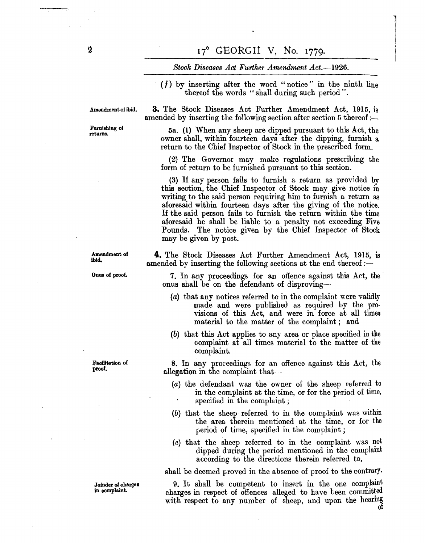## *Stock Diseases Act Further Amendment Act.-1926.*

 $(f)$  by inserting after the word "notice" in the ninth line thereof the words "shall during such period".

Amendment of ibid.

Furnishing of returns.

Amendment of ibid.

Onus of proof.

Faollitation of proof.

Joinder of chargea in oomplaint.

**3.** The Stock Diseases Act Further Amendment Act, 1915, is amended by inserting the following section after section 5 thereof :-

5a. (1) When any sheep are dipped pursuant to this Act, the owner shall, within fourteen days after the dipping, furnish a return to the Chief Inspector of Stock in the prescribed form.

(2) The Governor may make regulations prescribing the form of return to be furnished pursuant to this section.

(3) If any person fails to furnish a return as provided by this section, the Chief Inspector of Stock may give notice in writing to the said person requiring him to furnish a return as aforesaid within fourteen days after the giving of the notice. If the said person fails to furnish the return within the time aforesaid he shall be liable to a penalty not exceeding Five Pounds. The notice given by the Chief Inspector of Stock may be given by post.

**4.** The Stock Diseases Act Further Amendment Act, 1915, is amended by inserting the following sections at the end thereof  $:$ 

7. In any proceedings for an offence against this Act, the . onus shall be on the defendant of disproving--

- (a) that any notices referred to in the complaint were validly made and were published as required by the provisions of this Act, and were in force at all times material to the matter of the complaint; and
- (b) that this Act applies to .any area or place specified in the complaint at all times material to the matter of the complaint.

8. In any proceedings for an offence against this Act, the allegation in the complaint that--

- (a) the defendant was the owner of the sheep referred to in the complaint at the time, or for the period of time, . specified in the complaint ;
- (b) that the sheep referred to in the complaint was within the area therein mentioned at the time, or for the period of time, specified in the complaint;
- $(c)$  that the sheep referred to in the complaint was not dipped during the period mentioned in the complamt according to the directions therein referred to,

shall be deemed proved in the absence of proof to the contrary.

9. It shall be competent to insert in the one complaint charges in respect of offences alleged to have been committed with respect to any number of sheep, and upon the hearing

1